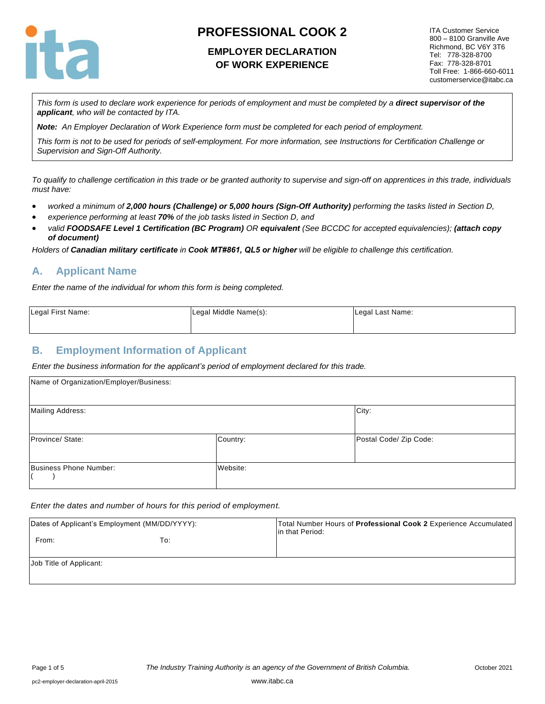

## **EMPLOYER DECLARATION OF WORK EXPERIENCE**

ITA Customer Service 800 – 8100 Granville Ave Richmond, BC V6Y 3T6 Tel: 778-328-8700 Fax: 778-328-8701 Toll Free: 1-866-660-6011 customerservice@itabc.ca

*This form is used to declare work experience for periods of employment and must be completed by a direct supervisor of the applicant, who will be contacted by ITA.*

*Note: An Employer Declaration of Work Experience form must be completed for each period of employment.*

*This form is not to be used for periods of self-employment. For more information, see Instructions for Certification Challenge or Supervision and Sign-Off Authority.*

*To qualify to challenge certification in this trade or be granted authority to supervise and sign-off on apprentices in this trade, individuals must have:*

- *worked a minimum of 2,000 hours (Challenge) or 5,000 hours (Sign-Off Authority) performing the tasks listed in Section D,*
- *experience performing at least 70% of the job tasks listed in Section D, and*
- *valid FOODSAFE Level 1 Certification (BC Program) OR equivalent (See BCCDC for accepted equivalencies); (attach copy of document)*

*Holders of Canadian military certificate in Cook MT#861, QL5 or higher will be eligible to challenge this certification.*

## **A. Applicant Name**

*Enter the name of the individual for whom this form is being completed.* 

| Legal First Name: | Legal Middle Name(s): | Legal Last Name: |
|-------------------|-----------------------|------------------|
|                   |                       |                  |

#### **B. Employment Information of Applicant**

*Enter the business information for the applicant's period of employment declared for this trade.*

| Name of Organization/Employer/Business: |          |                        |  |  |
|-----------------------------------------|----------|------------------------|--|--|
| <b>Mailing Address:</b>                 |          | City:                  |  |  |
| Province/State:                         | Country: | Postal Code/ Zip Code: |  |  |
| Business Phone Number:                  | Website: |                        |  |  |

*Enter the dates and number of hours for this period of employment.*

|                         | Dates of Applicant's Employment (MM/DD/YYYY): | Total Number Hours of Professional Cook 2 Experience Accumulated<br>lin that Period: |
|-------------------------|-----------------------------------------------|--------------------------------------------------------------------------------------|
| From:                   | To:                                           |                                                                                      |
| Job Title of Applicant: |                                               |                                                                                      |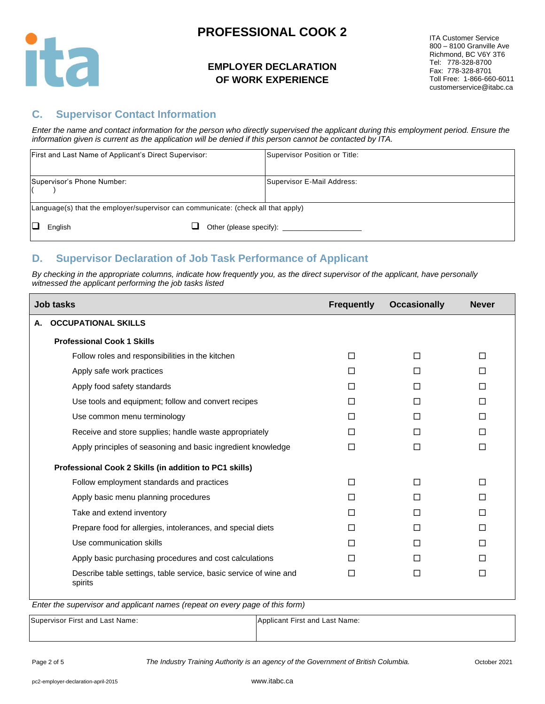

### **EMPLOYER DECLARATION OF WORK EXPERIENCE**

ITA Customer Service 800 – 8100 Granville Ave Richmond, BC V6Y 3T6 Tel: 778-328-8700 Fax: 778-328-8701 Toll Free: 1-866-660-6011 customerservice@itabc.ca

### **C. Supervisor Contact Information**

*Enter the name and contact information for the person who directly supervised the applicant during this employment period. Ensure the information given is current as the application will be denied if this person cannot be contacted by ITA.*

| First and Last Name of Applicant's Direct Supervisor:                            |  | Supervisor Position or Title: |
|----------------------------------------------------------------------------------|--|-------------------------------|
| Supervisor's Phone Number:                                                       |  | Supervisor E-Mail Address:    |
| Language(s) that the employer/supervisor can communicate: (check all that apply) |  |                               |
| English                                                                          |  |                               |

## **D. Supervisor Declaration of Job Task Performance of Applicant**

*By checking in the appropriate columns, indicate how frequently you, as the direct supervisor of the applicant, have personally witnessed the applicant performing the job tasks listed*

|    | <b>Job tasks</b>                                                             | <b>Frequently</b> | <b>Occasionally</b> | <b>Never</b> |
|----|------------------------------------------------------------------------------|-------------------|---------------------|--------------|
| А. | <b>OCCUPATIONAL SKILLS</b>                                                   |                   |                     |              |
|    | <b>Professional Cook 1 Skills</b>                                            |                   |                     |              |
|    | Follow roles and responsibilities in the kitchen                             | П                 | П                   | $\Box$       |
|    | Apply safe work practices                                                    | П                 | П                   | □            |
|    | Apply food safety standards                                                  | $\Box$            | П                   | $\Box$       |
|    | Use tools and equipment; follow and convert recipes                          | П                 | $\Box$              | □            |
|    | Use common menu terminology                                                  | П                 | $\Box$              | $\Box$       |
|    | Receive and store supplies; handle waste appropriately                       | П                 | П                   | П            |
|    | Apply principles of seasoning and basic ingredient knowledge                 | П                 | $\Box$              | $\Box$       |
|    | Professional Cook 2 Skills (in addition to PC1 skills)                       |                   |                     |              |
|    | Follow employment standards and practices                                    | П                 | П                   | $\Box$       |
|    | Apply basic menu planning procedures                                         | □                 | П                   | П            |
|    | Take and extend inventory                                                    | П                 | п                   | П            |
|    | Prepare food for allergies, intolerances, and special diets                  | П                 | П                   | $\Box$       |
|    | Use communication skills                                                     | П                 | П                   | $\Box$       |
|    | Apply basic purchasing procedures and cost calculations                      | П                 | П                   | П            |
|    | Describe table settings, table service, basic service of wine and<br>spirits | П                 | $\Box$              | $\Box$       |
|    | $\lambda$<br>$\sim$ $\sim$ $\sim$                                            |                   |                     |              |

*Enter the supervisor and applicant names (repeat on every page of this form)*

| Supervisor First and Last Name: | Applicant First and Last Name: |
|---------------------------------|--------------------------------|
|                                 |                                |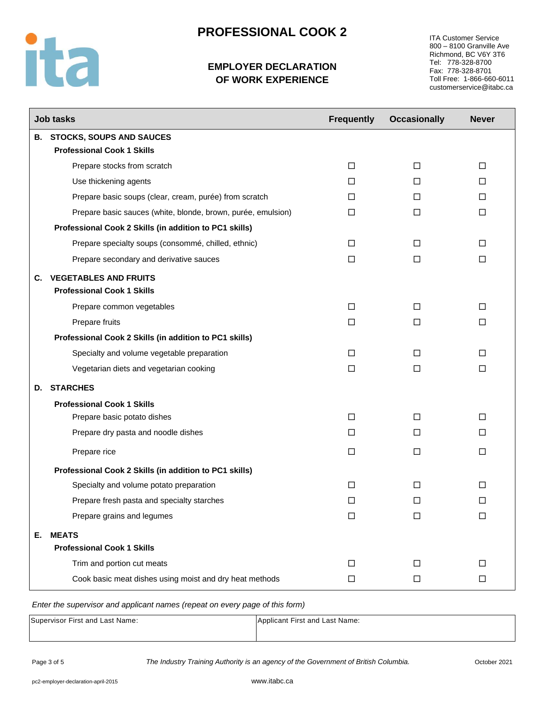

ITA Customer Service 800 – 8100 Granville Ave Richmond, BC V6Y 3T6 Tel: 778-328-8700 Fax: 778-328-8701 Toll Free: 1-866-660-6011 customerservice@itabc.ca

|    | <b>Job tasks</b>                                             | <b>Frequently</b> | <b>Occasionally</b> | <b>Never</b> |
|----|--------------------------------------------------------------|-------------------|---------------------|--------------|
|    | <b>B. STOCKS, SOUPS AND SAUCES</b>                           |                   |                     |              |
|    | <b>Professional Cook 1 Skills</b>                            |                   |                     |              |
|    | Prepare stocks from scratch                                  | $\Box$            | $\Box$              | □            |
|    | Use thickening agents                                        | $\Box$            | $\Box$              | $\Box$       |
|    | Prepare basic soups (clear, cream, purée) from scratch       | □                 | □                   | $\Box$       |
|    | Prepare basic sauces (white, blonde, brown, purée, emulsion) | □                 | □                   | $\Box$       |
|    | Professional Cook 2 Skills (in addition to PC1 skills)       |                   |                     |              |
|    | Prepare specialty soups (consommé, chilled, ethnic)          | □                 | □                   | □            |
|    | Prepare secondary and derivative sauces                      | $\Box$            | $\Box$              | $\Box$       |
|    | <b>C. VEGETABLES AND FRUITS</b>                              |                   |                     |              |
|    | <b>Professional Cook 1 Skills</b>                            |                   |                     |              |
|    | Prepare common vegetables                                    | $\Box$            | □                   | $\Box$       |
|    | Prepare fruits                                               | $\Box$            | □                   | □            |
|    | Professional Cook 2 Skills (in addition to PC1 skills)       |                   |                     |              |
|    | Specialty and volume vegetable preparation                   | □                 | □                   | □            |
|    | Vegetarian diets and vegetarian cooking                      | □                 | □                   | $\Box$       |
| D. | <b>STARCHES</b>                                              |                   |                     |              |
|    | <b>Professional Cook 1 Skills</b>                            |                   |                     |              |
|    | Prepare basic potato dishes                                  | $\Box$            | $\Box$              | □            |
|    | Prepare dry pasta and noodle dishes                          | □                 | П                   | □            |
|    | Prepare rice                                                 | $\Box$            | $\Box$              | $\Box$       |
|    | Professional Cook 2 Skills (in addition to PC1 skills)       |                   |                     |              |
|    | Specialty and volume potato preparation                      | П                 | □                   | □            |
|    | Prepare fresh pasta and specialty starches                   | □                 | □                   | □            |
|    | Prepare grains and legumes                                   | □                 | □                   | □            |
| Е. | <b>MEATS</b>                                                 |                   |                     |              |
|    | <b>Professional Cook 1 Skills</b>                            |                   |                     |              |
|    | Trim and portion cut meats                                   | □                 | □                   | $\Box$       |
|    | Cook basic meat dishes using moist and dry heat methods      | □                 | □                   | □            |

*Enter the supervisor and applicant names (repeat on every page of this form)*

| Supervisor First and Last Name: | Applicant First and Last Name: |
|---------------------------------|--------------------------------|
|                                 |                                |

ita

Page 3 of 5 *The Industry Training Authority is an agency of the Government of British Columbia.* October 2021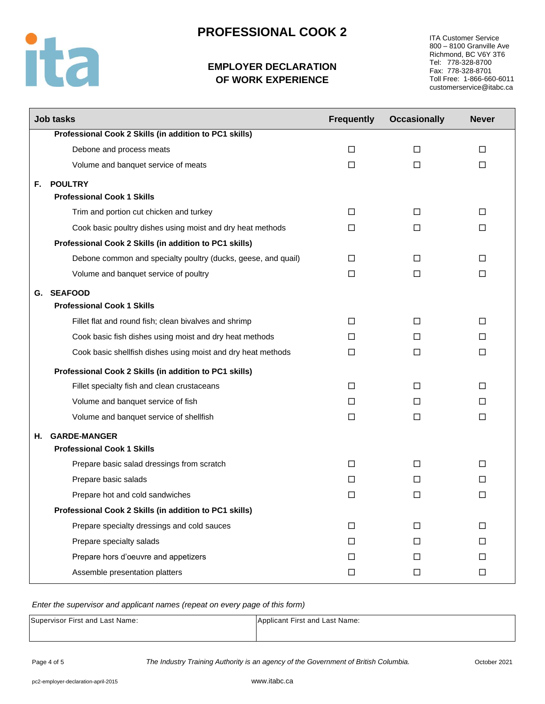

## **EMPLOYER DECLARATION OF WORK EXPERIENCE**

ITA Customer Service 800 – 8100 Granville Ave Richmond, BC V6Y 3T6 Tel: 778-328-8700 Fax: 778-328-8701 Toll Free: 1-866-660-6011 customerservice@itabc.ca

|    | <b>Job tasks</b>                                              | <b>Frequently</b> | <b>Occasionally</b> | <b>Never</b> |
|----|---------------------------------------------------------------|-------------------|---------------------|--------------|
|    | Professional Cook 2 Skills (in addition to PC1 skills)        |                   |                     |              |
|    | Debone and process meats                                      | $\Box$            | $\Box$              | $\Box$       |
|    | Volume and banquet service of meats                           | $\Box$            | $\Box$              | $\Box$       |
| F. | <b>POULTRY</b>                                                |                   |                     |              |
|    | <b>Professional Cook 1 Skills</b>                             |                   |                     |              |
|    | Trim and portion cut chicken and turkey                       | □                 | □                   | □            |
|    | Cook basic poultry dishes using moist and dry heat methods    | П                 | $\Box$              | П            |
|    | Professional Cook 2 Skills (in addition to PC1 skills)        |                   |                     |              |
|    | Debone common and specialty poultry (ducks, geese, and quail) | □                 | □                   | □            |
|    | Volume and banquet service of poultry                         | □                 | □                   | □            |
|    | G. SEAFOOD                                                    |                   |                     |              |
|    | <b>Professional Cook 1 Skills</b>                             |                   |                     |              |
|    | Fillet flat and round fish; clean bivalves and shrimp         | □                 | □                   | □            |
|    | Cook basic fish dishes using moist and dry heat methods       | П                 | П                   | П            |
|    | Cook basic shellfish dishes using moist and dry heat methods  | $\Box$            | $\Box$              | $\Box$       |
|    | Professional Cook 2 Skills (in addition to PC1 skills)        |                   |                     |              |
|    | Fillet specialty fish and clean crustaceans                   | □                 | □                   | □            |
|    | Volume and banquet service of fish                            | П                 | □                   | □            |
|    | Volume and banquet service of shellfish                       | $\Box$            | $\Box$              | $\Box$       |
| Н. | <b>GARDE-MANGER</b>                                           |                   |                     |              |
|    | <b>Professional Cook 1 Skills</b>                             |                   |                     |              |
|    | Prepare basic salad dressings from scratch                    | □                 | $\Box$              | □            |
|    | Prepare basic salads                                          | П                 | П                   | П            |
|    | Prepare hot and cold sandwiches                               | □                 | □                   | □            |
|    | Professional Cook 2 Skills (in addition to PC1 skills)        |                   |                     |              |
|    | Prepare specialty dressings and cold sauces                   | □                 | $\Box$              | $\Box$       |
|    | Prepare specialty salads                                      | $\Box$            | $\Box$              | $\Box$       |
|    | Prepare hors d'oeuvre and appetizers                          | $\Box$            | $\Box$              | $\Box$       |
|    | Assemble presentation platters                                | $\Box$            | $\Box$              | $\Box$       |

#### *Enter the supervisor and applicant names (repeat on every page of this form)*

| Supervisor First and Last Name: | Applicant First and Last Name: |
|---------------------------------|--------------------------------|
|                                 |                                |

Page 4 of 5 *The Industry Training Authority is an agency of the Government of British Columbia.* October 2021